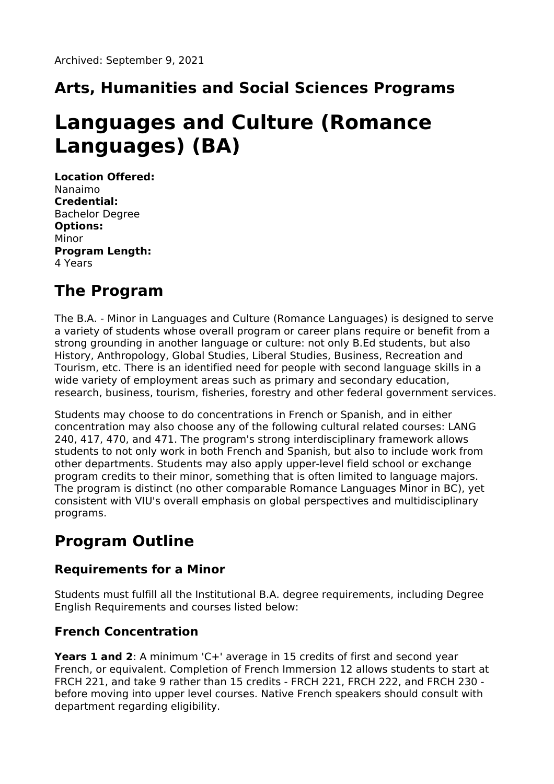## **Arts, Humanities and Social Sciences Programs**

# **Languages and Culture (Romance Languages) (BA)**

**Location Offered:** Nanaimo **Credential:** Bachelor Degree **Options:** Minor **Program Length:** 4 Years

### **The Program**

The B.A. - Minor in Languages and Culture (Romance Languages) is designed to serve a variety of students whose overall program or career plans require or benefit from a strong grounding in another language or culture: not only B.Ed students, but also History, Anthropology, Global Studies, Liberal Studies, Business, Recreation and Tourism, etc. There is an identified need for people with second language skills in a wide variety of employment areas such as primary and secondary education, research, business, tourism, fisheries, forestry and other federal government services.

Students may choose to do concentrations in French or Spanish, and in either concentration may also choose any of the following cultural related courses: LANG 240, 417, 470, and 471. The program's strong interdisciplinary framework allows students to not only work in both French and Spanish, but also to include work from other departments. Students may also apply upper-level field school or exchange program credits to their minor, something that is often limited to language majors. The program is distinct (no other comparable Romance Languages Minor in BC), yet consistent with VIU's overall emphasis on global perspectives and multidisciplinary programs.

## **Program Outline**

#### **Requirements for a Minor**

Students must fulfill all the Institutional B.A. degree requirements, including Degree English Requirements and courses listed below:

### **French Concentration**

**Years 1 and 2**: A minimum 'C+' average in 15 credits of first and second year French, or equivalent. Completion of French Immersion 12 allows students to start at FRCH 221, and take 9 rather than 15 credits - FRCH 221, FRCH 222, and FRCH 230 before moving into upper level courses. Native French speakers should consult with department regarding eligibility.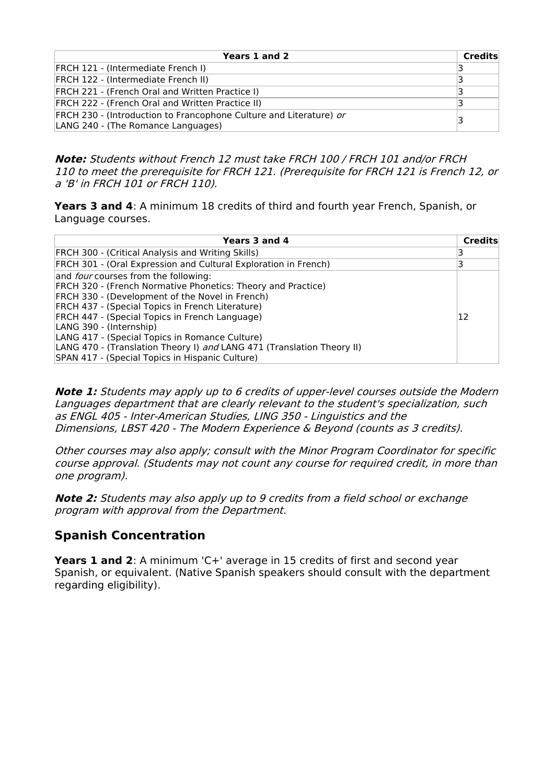| Years 1 and 2                                                                                            | Credits |
|----------------------------------------------------------------------------------------------------------|---------|
| <b>FRCH 121 - (Intermediate French I)</b>                                                                |         |
| <b>FRCH 122 - (Intermediate French II)</b>                                                               |         |
| <b>FRCH 221 - (French Oral and Written Practice I)</b>                                                   |         |
| <b>FRCH 222 - (French Oral and Written Practice II)</b>                                                  |         |
| FRCH 230 - (Introduction to Francophone Culture and Literature) or<br>LANG 240 - (The Romance Languages) |         |

**Note:** Students without French 12 must take FRCH 100 / FRCH 101 and/or FRCH 110 to meet the prerequisite for FRCH 121. (Prerequisite for FRCH 121 is French 12, or <sup>a</sup> 'B' in FRCH 101 or FRCH 110).

**Years 3 and 4**: A minimum 18 credits of third and fourth year French, Spanish, or Language courses.

| Years 3 and 4                                                          | <b>Credits</b> |
|------------------------------------------------------------------------|----------------|
| FRCH 300 - (Critical Analysis and Writing Skills)                      |                |
| FRCH 301 - (Oral Expression and Cultural Exploration in French)        | 3              |
| and <i>four</i> courses from the following:                            |                |
| <b>FRCH 320 - (French Normative Phonetics: Theory and Practice)</b>    |                |
| FRCH 330 - (Development of the Novel in French)                        |                |
| FRCH 437 - (Special Topics in French Literature)                       |                |
| FRCH 447 - (Special Topics in French Language)                         | 12             |
| LANG 390 - (Internship)                                                |                |
| LANG 417 - (Special Topics in Romance Culture)                         |                |
| LANG 470 - (Translation Theory I) and LANG 471 (Translation Theory II) |                |
| SPAN 417 - (Special Topics in Hispanic Culture)                        |                |

**Note 1:** Students may apply up to 6 credits of upper-level courses outside the Modern Languages department that are clearly relevant to the student's specialization, such as ENGL 405 - Inter-American Studies, LING 350 - Linguistics and the Dimensions, LBST 420 - The Modern Experience & Beyond (counts as 3 credits).

Other courses may also apply; consult with the Minor Program Coordinator for specific course approval. (Students may not count any course for required credit, in more than one program).

**Note 2:** Students may also apply up to 9 credits from <sup>a</sup> field school or exchange program with approval from the Department.

#### **Spanish Concentration**

**Years 1 and 2**: A minimum 'C+' average in 15 credits of first and second year Spanish, or equivalent. (Native Spanish speakers should consult with the department regarding eligibility).